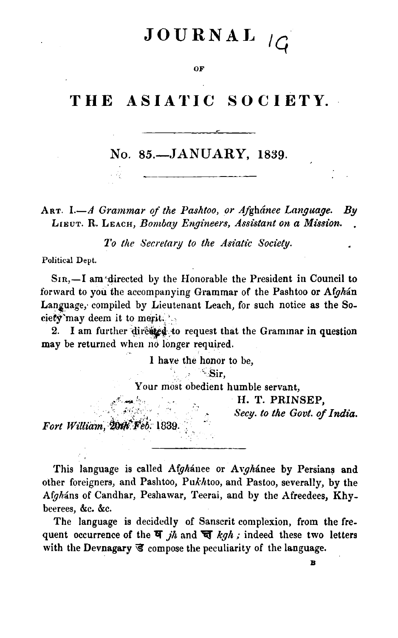# JOURNAL

#### OF

# THE ASIATIC SOCIETY.

# No. 85.-JANUARY, 1839.

ART. I.-A Grammar of the Pashtoo, or Afghánee Language.  $B\mathbf{v}$ LIEUT. R. LEACH, Bombay Engineers, Assistant on a Mission.

To the Secretary to the Asiatic Society.

Political Dept.

 $S_{IR}$ ,  $\overline{\phantom{a}}$  am directed by the Honorable the President in Council to forward to you the accompanying Grammar of the Pashtoo or Afghan Language, compiled by Lieutenant Leach, for such notice as the Society'may deem it to merit.

I am further directed to request that the Grammar in question  $2.$ may be returned when no longer required.

I have the honor to be,

 $\sim$  Sir,

Your most obedient humble servant,

H. T. PRINSEP,

Secy. to the Govt. of India.

Fort William, 20th Feb. 1839.

This language is called Afghanee or Avghanee by Persians and other foreigners, and Pashtoo, Pukhtoo, and Pastoo, severally, by the Afgháns of Candhar, Peshawar, Teerai, and by the Afreedees, Khybeerees, &c. &c.

The language is decidedly of Sanscrit complexion, from the frequent occurrence of the  $\overline{q}$  jh and  $\overline{q}$  kgh; indeed these two letters with the Devnagary  $\vec{\mathbf{s}}$  compose the peculiarity of the language.

R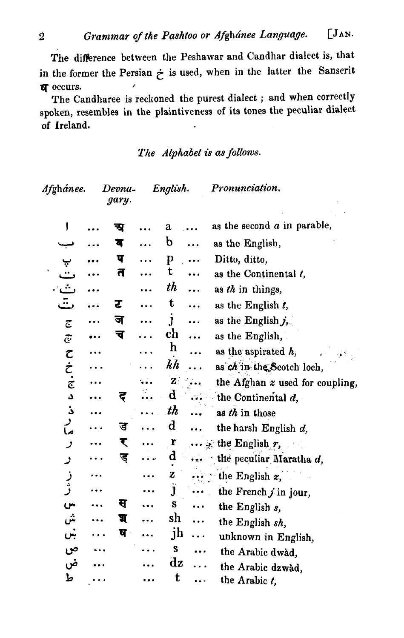The difference between the Peshawar and Candhar dialect is, that in the former the Persian  $\dot{\tau}$  is used, when in the latter the Sanscrit **N** occurs.  $\lambda$ 

The Candharee is reckoned the purest dialect; and when correctly spoken, resembles in the plaintiveness of its tones the peculiar dialect of Ireland.

# The Alphabet is as follows.

| Afghánee.                 | Devna-<br>gary. | English.               | Pronunciation.                  |
|---------------------------|-----------------|------------------------|---------------------------------|
| ţ                         | न्त्र           | a                      | as the second $a$ in parable,   |
|                           | ब               | b                      | as the English,                 |
|                           | प               | p                      | Ditto, ditto,                   |
| پ<br>ٺ                    | त               | t                      | as the Continental t,           |
| ٺ                         |                 | th                     | as th in things,                |
| ت                         | र               | t<br>.                 | as the English $t$ ,            |
| $\overline{c}$            | ज               | J<br>                  | as the English $j$ .            |
| $\overline{G}$            | च               | ch                     | as the English,                 |
|                           |                 | $\mathbf h$            | as the aspirated $h$ ,          |
|                           |                 | kh                     | as ch in the Scotch loch,       |
| てここ                       |                 | $\mathbf{z}$           | the Afghan z used for coupling, |
| د                         | इ               | $\mathbf d$<br>ville.  | the Continental $d$ ,           |
| ذ                         |                 | th<br>$\ddotsc$        | as th in those                  |
| ر<br>ما                   | ड               | $\mathbf d$<br>        | the harsh English $d$ ,         |
| ر                         | र               | $\mathbf{r}_\parallel$ | $\cdots$ is the English r,      |
| ر                         | ड               | $\mathbf d$            | the peculiar Maratha d,         |
|                           |                 | Z                      | the English $z$ ,               |
| ز<br>ژ                    |                 | Ĵ                      | the French $j$ in jour,         |
| $\mathbf{C}^{\mathbf{R}}$ | स               | S                      | the English s,                  |
| ش                         | प्र             | sh<br>.                | the English sh,                 |
| ښ                         | ष               | jh<br>.                | unknown in English,             |
| ص                         |                 | S                      | the Arabic dwad.                |
| ض                         |                 | $\mathbf{d}\mathbf{z}$ | the Arabic dzwàd,               |
| ط                         |                 | t                      | the Arabic $t$ ,                |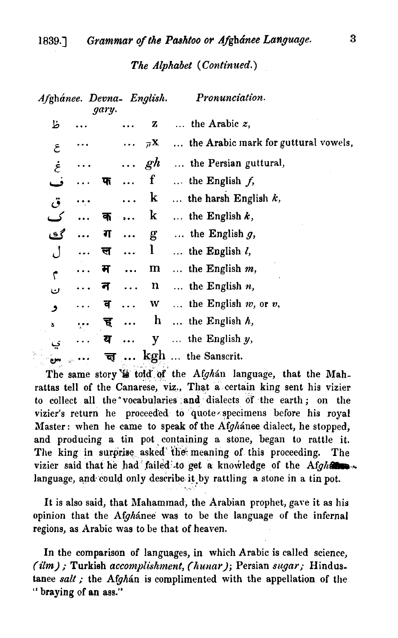#### The Alphabet (Continued.)

| Afghánee. Devna- English. |           | gary. |                      |              | Pronunciation.                       |
|---------------------------|-----------|-------|----------------------|--------------|--------------------------------------|
| ظ                         |           |       |                      | z            | the Arabic $z$ ,                     |
| $\mathcal{E}_{0}$         |           |       |                      | $\pi$ X      | the Arabic mark for guttural vowels, |
| غ                         |           |       |                      | $\cdots$ gh  | the Persian guttural,                |
| ف                         |           | फ     |                      | f            | the English $f$ ,                    |
| ۋ،                        |           |       |                      | $\bf k$      | the harsh English $k$ ,              |
| ک                         | $\ddotsc$ | क     | $\ddot{\phantom{0}}$ | k            | the English $k$ ,                    |
| گڪ                        |           | ग     | $\ddotsc$            | g            | $\ldots$ the English g,              |
| ل                         |           | ल     |                      | $\mathbf{l}$ | $\ldots$ the English $l$ ,           |
| ۴                         |           | म     | $\ddotsc$            | $\mathbf m$  | the English $m$ ,                    |
| ن                         |           | न     | $\sim$ $\sim$ $\sim$ | $\mathbf{n}$ | the English $n$ ,                    |
| و                         |           | व     | $\ddotsc$            | W            | the English $w$ , or $v$ ,           |
| ă                         | $\bullet$ | ह     |                      | $\mathbf{h}$ | the English $h$ ,                    |
|                           |           | य     | $\ddotsc$            | y            | $\ldots$ the English $y$ ,           |
|                           |           | च     |                      |              | kgh  the Sanscrit.                   |

The same story is told of the Afghan language, that the Mahrattas tell of the Canarese, viz., That a certain king sent his vizier to collect all the vocabularies and dialects of the earth; on the vizier's return he proceeded to quote specimens before his royal Master: when he came to speak of the Afghanee dialect, he stopped, and producing a tin pot containing a stone, began to rattle it. The king in surprise asked the meaning of this proceeding. The vizier said that he had failed to get a knowledge of the Afghatra. language, and could only describe it by rattling a stone in a tin pot.

It is also said, that Mahammad, the Arabian prophet, gave it as his opinion that the Afghanee was to be the language of the infernal regions, as Arabic was to be that of heaven.

In the comparison of languages, in which Arabic is called science, (ilm); Turkish accomplishment, (hunar); Persian sugar; Hindustance salt; the Afghan is complimented with the appellation of the "braying of an ass."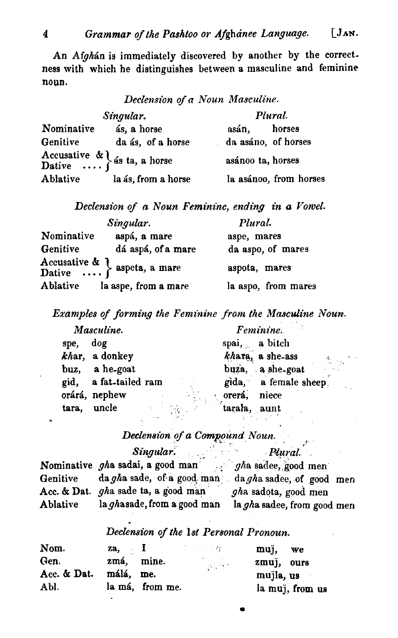An Afghán is immediately discovered by another by the correctness with which he distinguishes between a masculine and feminine noun.

Declension of a Noun Masculine.

|            | Singular.                                                                      | Plural.                |  |  |
|------------|--------------------------------------------------------------------------------|------------------------|--|--|
| Nominative | ás, a horse                                                                    | horses<br>asán.        |  |  |
| Genitive   | da ás, of a horse                                                              | da asáno, of horses    |  |  |
|            | Accusative $\mathbf{R}$ $\left\{\mathbf{a}, \mathbf{b}\right\}$ as ta, a horse | asánoo ta, horses      |  |  |
| Ablative   | la ás, from a horse                                                            | la asánoo, from horses |  |  |

Declension of **m** Noun Feminine, ending in a Vowel.

|            | Singular.                                                  | Plural.             |  |  |
|------------|------------------------------------------------------------|---------------------|--|--|
| Nominative | aspá, a mare                                               | aspe, mares         |  |  |
| Genitive   | dá aspá, of a mare                                         | da aspo, of mares   |  |  |
|            | Accusative & \, aspeta, a mare<br>Dative  } aspeta, a mare | aspota, mares       |  |  |
| Ablative   | la aspe, from a mare                                       | la aspo, from mares |  |  |

Examples of forming the Feminine from the Masculine Noun.

|       | Masculine.            |  |              | Feminine.                           |
|-------|-----------------------|--|--------------|-------------------------------------|
| spe.  | dog                   |  |              | spai, a bitch                       |
|       | khar, a donkey        |  |              | khara, a she-ass<br>a<br>San Agusta |
|       | buz, a he-goat        |  |              | buza, a she-goat                    |
|       | gid, a fat-tailed ram |  |              | gida, a female sheep.               |
|       | orárá, nephew         |  | orerá, niece |                                     |
| tara, | uncle                 |  | tarala, aunt |                                     |

# Declension of a Compound Noun.

|          | Singular.                                                | Plural                      |
|----------|----------------------------------------------------------|-----------------------------|
|          | Nominative gha sadai, a good man $q/h$ a sadee, good men |                             |
| Genitive | da gha sade, of a good man da gha sadee, of good men     |                             |
|          | Acc. & Dat. gha sade ta, a good man                      | gha sadota, good men        |
| Ablative | la ghasade, from a good man                              | la gha sadee, from good men |

#### Declension of the **1st** Personal Pronoun.

| Nom.        | za, I      |                 | - 2012年                                               | muj, we         |
|-------------|------------|-----------------|-------------------------------------------------------|-----------------|
| Gen.        | zmá, mine. |                 | $\mathcal{L}_{\rm{max}}$ and $\mathcal{L}_{\rm{max}}$ | zmuj, ours      |
| Acc. & Dat. | málá, me.  |                 |                                                       | mujla, us       |
| Abl.        |            | la má, from me. |                                                       | la muj, from us |

 $\mathbf{a}$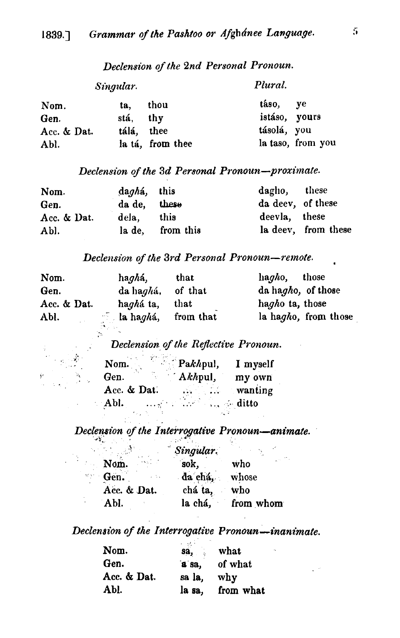| Singular.   |            |                  | Plural.       |                   |
|-------------|------------|------------------|---------------|-------------------|
| Nom.        | ta.        | thou             | táso, ye      |                   |
| Gen.        | stá, thy   |                  | istáso, yours |                   |
| Acc. & Dat. | tálá, thee |                  | tásolá, you   |                   |
| Abl.        |            | la tá, from thee |               | la taso, from you |

## Declension of the 2nd Personal Pronoun.

# Declension of the 3d Personal Pronoun-proximate.

| Nom.        | daghá, this  |                  | dagho, these      |                     |
|-------------|--------------|------------------|-------------------|---------------------|
| Gen.        | da de, these |                  | da deev, of these |                     |
| Acc. & Dat. | dela. this   |                  | deevla, these     |                     |
| Abl.        |              | la de, from this |                   | la deev, from these |

## Declension of the 3rd Personal Pronoun-remote.

| Nom.        | ha <i>gh</i> á,           | that      | hagho, those         |
|-------------|---------------------------|-----------|----------------------|
| Gen.        | da haghá, of that         |           | da hagho, of those   |
| Acc. & Dat. | ha <i>gh</i> á ta,        | that      | hagho ta, those      |
| Abl.        | $\Box$ la ha <i>gh</i> á, | from that | la hagho, from those |

# Declension of the Reflective Pronoun.

| Nom.                                                                                                | $\sum_{k=1}^{n} P_{k} h_{k}$ | I myself       |
|-----------------------------------------------------------------------------------------------------|------------------------------|----------------|
| Gen.                                                                                                | $Akh$ pul,                   | my own         |
| Acc. & Dat.                                                                                         | $\mathcal{L}_{\text{max}}$   | $w$ wanting    |
| Abl.<br>$\mathcal{L}_{\mathcal{A}}$ and $\mathcal{L}_{\mathcal{A}}$ and $\mathcal{L}_{\mathcal{A}}$ | $\sim 10^{10}$               | $\ldots$ ditto |
|                                                                                                     |                              |                |

 $\sim$ 

ÿ

Declension of the Interrogative Pronoun-animate.

|                               | Singular.     |                   |
|-------------------------------|---------------|-------------------|
| Nom.                          | sok,          | who               |
| Gen.<br>$\omega = 1/\sqrt{2}$ | da chá, whose |                   |
| Acc. & Dat.                   | chá ta, who   |                   |
| Abl.                          |               | la chá, from whom |

# Declension of the Interrogative Pronoun-inanimate.

| and the con- | what      |
|--------------|-----------|
| a sa,        | of what   |
| sa la,       | why       |
| la sa,       | from what |
|              | sa,       |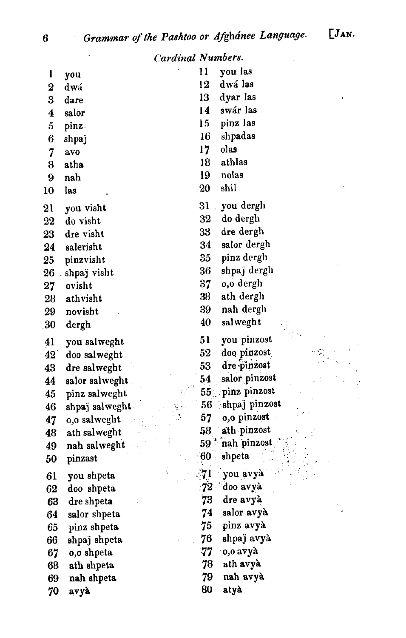$\sim 10^7$ 

 $\sim 100$ 

 $52$ 

 $\frac{1}{2}$ 

À,

ċ ý

|                  | <b>Cardinal Numbers.</b> |                |                 |
|------------------|--------------------------|----------------|-----------------|
| $\mathbf{l}$     | you                      | 11             | you las         |
| $\bf{2}$         | dwá                      | 12             | dwá las         |
| 3                | dare                     | 13             | dyar las        |
| $\boldsymbol{4}$ | salor                    | 14             | swár las        |
| 5                | pinz.                    | 15             | pinz las        |
| 6                | shpaj                    | 16             | shpadas         |
| 7                | avo                      | $17 \,$        | olas            |
| 8                | atha                     | 18             | athlas          |
| 9                | nah                      | 19             | nolas           |
| 10               | las                      | 20             | shil            |
| 21               | you visht                | 31             | you dergh       |
| 22               | do visht                 | 32             | do dergh        |
| 23               | dre visht                | 33             | dre dergh       |
| 24               | salerisht                | 34             | salor dergh     |
| 25               | pinzvisht                | 35             | pinz dergh      |
|                  | 26 shpaj visht           | 36             | shpaj derglı    |
| 27               | ovisht                   | 37             | 0,0 dergh       |
| 28               | athvisht                 | 38             | ath dergh       |
| 29               | novisht                  | 39             | nah dergh       |
| .30              | dergh                    | 40             | salweght        |
| 41               | you salweght             | 51             | you pinzost     |
| $42^{\degree}$   | doo salweght             | 52             | doo pinzost     |
| 43               | dre salweght             | 53             | dre pinzost     |
| 44               | salor salweght.          | 54             | salor pinzost   |
| 45               | pinz salweght            |                | 55 pinz pinzost |
| 46               | shpaj salweght.          | 56             | shpaj pinzost   |
| 47               | 0,0 salweght             | 57             | 0,0 pinzost     |
| 48               | ath salweght             | 58             | ath pinzost     |
| 49               | nah salweght             | $59^{\degree}$ | nah pinzost     |
| 50               | pinzast                  | 60             | shpeta          |
| 61               | you shpeta               |                | you avyà        |
| 62               | doo shpeta               | 72             | doo avyà        |
| 63               | dre shpeta               | 73             | dre avyà        |
| 64               | salor shpeta             | 74             | salor avyà      |
| 65               | pinz shpeta              | 75             | pinz avyà       |
| 66               | shpaj shpeta             | 76             | shpaj avyà      |
| 67               | 0,0 shpeta               | 77             | o,o avyà        |
| 68               | ath shpeta               | 78             | ath avyà        |
| 69               | nah shpeta               | 79             | nah avyà        |
| 70               | avyà                     | 80             | atyà            |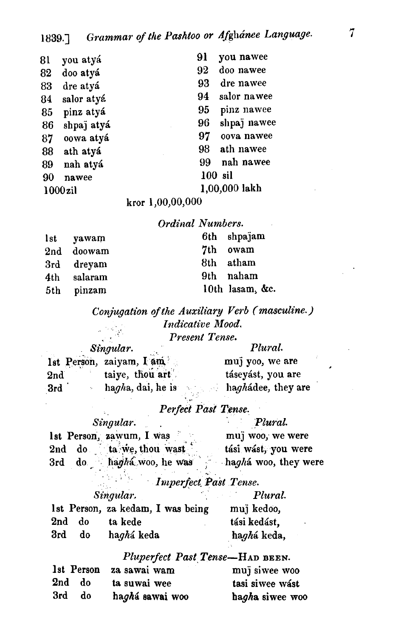| 81         | you atyá   | 91<br>you nawee   |
|------------|------------|-------------------|
| 82         | doo atyá   | 92<br>doo nawee   |
| 83         | dre atyá   | 93<br>dre nawee   |
| 84         | salor atyá | salor nawee<br>94 |
| 85         | pinz atyá  | pinz nawee<br>95  |
| 86         | shpaj atyá | shpaj nawee<br>96 |
| 87         | oowa atyá  | 97<br>oova nawee  |
| 88         | ath atyá   | 98<br>ath nawee   |
| 89         | nah atyá   | nah nawee<br>99   |
| 90         | nawee      | 100 sil           |
| $1000$ zil |            | 1,00,000 lakh     |
|            |            |                   |

kror 1,00,00,000

## Ordinal Numbers.

| lst yawam   | 6th shpajam     |
|-------------|-----------------|
| 2nd doowam  | 7th owam        |
| 3rd dreyam  | 8th atham       |
| 4th salaram | 9th naham       |
| 5th pinzam  | 10th lasam, &c. |

Conjugation of the Auxiliary Verb (masculine.) Indicative Mood.  $\label{eq:2} \frac{1}{\sqrt{2}}\frac{d\phi}{d\phi} = \frac{1}{2}\frac{d\phi}{d\phi}$ Present Tense.

| Singular. |                            | Plural.                         |
|-----------|----------------------------|---------------------------------|
|           | 1st Person, zaiyam, I am   | muj yoo, we are                 |
| 2nd       | taive, thou art            | táseyást, you are               |
| 3rd       | hagha, dai, he is<br>A. 7. | $\therefore$ haghadee, they are |

i.

# Perfect Past Tense.

| Singular.                   | Plural.              |
|-----------------------------|----------------------|
| 1st Person, zawum, I was    | muj woo, we were     |
| ta we, thou wast<br>2nd do  | tási wást, you were  |
| do haghá woo, he was<br>3rd | haghá woo, they were |

#### Imperfect Past Tense.

| Singular.      |    |                                   | Plural.      |
|----------------|----|-----------------------------------|--------------|
|                |    | 1st Person, za kedam, I was being | muj kedoo,   |
| $2\mathrm{nd}$ | do | ta kede                           | tási kedást, |
| 3rd            | do | haghá keda                        | haghá keda,  |

## Pluperfect Past Tense-HAD BEEN.

|        |    | 1st Person za sawai wam | muj siwee woo   |
|--------|----|-------------------------|-----------------|
| 2nd do |    | ta suwai wee            | tasi siwee wast |
| 3rd    | do | haghá sawai woo         | hagha siwee woo |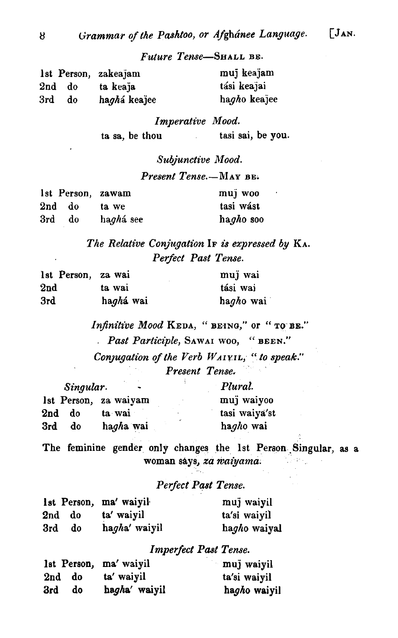#### Future Tense-SHALL BE.

|     |        | 1st Person, zakeajam | muj keajam   |
|-----|--------|----------------------|--------------|
|     | 2nd do | ta keaja             | tási keajai  |
| 3rd | do     | haghá keajee         | hagho keajee |

Imperative Mood. ta sa, be thou tasi sai, be you.

#### Subjunctive Mood.

#### Present Tense.-MAY BE.

|     | 1st Person, zawam |                    | muj woo   |
|-----|-------------------|--------------------|-----------|
|     | 2nd do            | ta we              | tasi wást |
| 3rd | do                | ha <i>gh</i> á see | hagho soo |

# The Relative Conjugation IF is expressed by KA. Perfect Past Tense.

| 1st Person, za wai |           | muj wai   |
|--------------------|-----------|-----------|
| 2nd                | ta wai    | tási wai  |
| 3rd                | haghá wai | hagho wai |

Infinitive Mood KEDA, "BEING," or "TO BE." . Past Participle, SAWAI WOO, " BEEN." Conjugation of the Verb  $W_A$ IVIL, " to speak." Present Tense.

| Singular.             |                       | Plural.       |
|-----------------------|-----------------------|---------------|
|                       | Ist Person, za waiyam | muj waiyoo    |
| 2 <sub>nd</sub><br>do | ta wai                | tasi waiya'st |
| 3rd<br>do             | hagha wai             | hagho wai     |

The feminine gender only changes the 1st Person Singular, as a woman says, *za waiyama*. المعاقلة والمرا

#### Perfect Past Tense.

|        |    | 1st Person, ma' waiyil | muj waiyil   |
|--------|----|------------------------|--------------|
| 2nd do |    | ta' waiyil             | ta'si waiyil |
| 3rd    | d0 | hagha' waiyil          | hagho waiyal |

#### Imperfect Past Tense.

|           | lst Person, ma' waiyil | muj waiyil   |
|-----------|------------------------|--------------|
| 2nd do    | ta' waiyil             | ta'si waiyil |
| 3rd<br>do | hagha' waiyil          | hagho waiyil |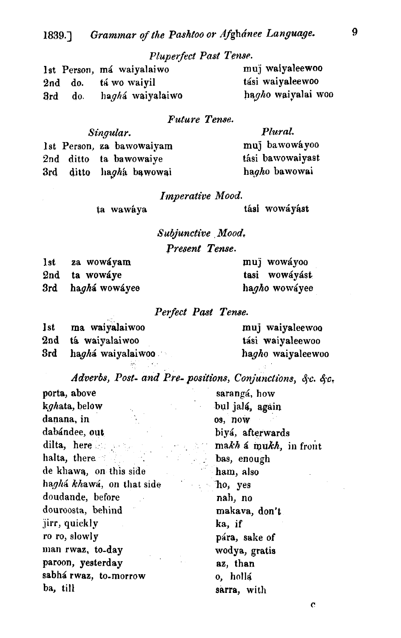# Pluperfect Past Tense.

|     | Ist Person, má waiyalaiwo | muj waiyaleewoo    |
|-----|---------------------------|--------------------|
|     | 2nd do. tá wo waiyil      | tási waiyaleewoo   |
| 3rd | do. haghá waiyalaiwo      | hagho waiyalai woo |

## Future Tense.

| Singular. |  |                           | Plural.          |
|-----------|--|---------------------------|------------------|
|           |  | 1st Person, za bawowaiyam | muj bawowáyoo    |
|           |  | 2nd ditto ta bawowaiye    | tási bawowaiyast |
|           |  | 3rd ditto hagha bawowai   | hagho bawowai    |

## Imperative Mood.

ta wawáya tási wowáyást

Subjunctive Mood.

Present Tense.

1st za wowáyam **muji wowáyoo muji wowáyoo muji wowáyoo**<br>1992 <u>za wowáye za zamienia za kasi wowáy</u>ást 2nd ta wowlye tasi wowiybt 3rd haghá wowáyee

#### Perfect Past Tense.

| <b>Ist</b> | ma waiyalaiwoo             | muj waiyaleewoo   |
|------------|----------------------------|-------------------|
|            | 2nd tá waiyalaiwoo         | tási waiyaleewoo  |
| 3rd        | ha <i>gh</i> á waiyalaiwoo | hagho waiyaleewoo |

*Adverbs, Post- and Pre- positions, Conjunctions, &c. &c.* 

| porta, above              | sarangá, how                   |
|---------------------------|--------------------------------|
| kghata, below             | bul jalá, again                |
| danana, in                | os, now                        |
| dabándee, out             | biyá, afterwards               |
| dilta, here               | $\ldots$ makh a mukh, in front |
| halta, there              | <b>Example 12</b> bas, enough  |
| de khawa, on this side    | ham, also                      |
| haghá khawá, on that side | <b>Example 2</b> Tho, yes      |
| doudande, before          | nah, no                        |
| douroosta, behind         | makava, don't                  |
| jirr, quickly             | ka, if                         |
| ro ro, slowly             | pára, sake of                  |
| man rwaz, to-day          | wodya, gratis                  |
| paroon, yesterday         | az, than                       |
| sabhá rwaz, to-morrow     | o, hollá                       |
| ba, till                  | sarra, with                    |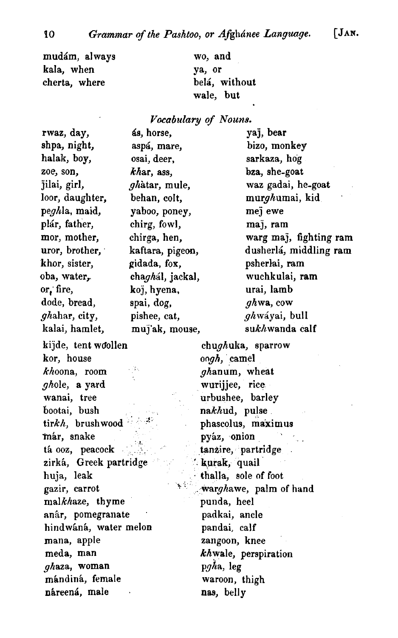mudám, always kala, when cherta, where

rwaz, day,

wo, and ya, or belá, without wale, but

#### *Vocabztlary of Nouns.*

shpa, night, halak, boy, zoe, son, jilai, girl, loor, daughter, peghla, maid, plár, father, mor, mother, uror, brother, . khor, sister, oba, water, or; fire, dode, bread, ghahar, city, kalai, hamlet, kijde, tent woollen chughulra, sparrow kor, house oogh, camel  $kho$ ona, room ghanum, wheat ghole, a yard wurijjee, rice wanai, tree urbushee, barley bootai, bush nakhud, pulse tirkh, brushwood  $\mathbb{R}^3$  phascolus, maximus már, snake **pyáz, onion**<br>
tá ooz, peacock interval tanzire, partr zirká, Greek partridge '. Kurak, quail huja, leak thalla, sole of foot  $malkh$ aze, thyme **an&,,** pomegranate padkai, ancle hindwáná, water melon pandai, calf mana, apple zangoon, knee

 $gh$ aza, woman p $gh$ a, leg<br>mándiná, female maroon, thigh mándiná, female náreená, male **nas**, belly

68, horse, yaj, bear asp&, mare, bizo, monkey osai, deer, sarkaxa, hog khar, ass, bza, she-goat ghàtar, mule, waz gadai, he-goat behan, colt, murghumai, kid yaboo, poney, mej ewe chirg, fowl, maj, ram chirga, hen, warg maj, fighting ram kaftara, pigeon, dusherlá, middling ram gidada, fox, psherhi, ram chagh61, jackal, wuchkulai, ram koJ, hyena, urai, lamb spai,  $\log$ , ghwa, cow pishee, cat, ghwáyai, bull muj'ak, mouse, sukhwanda calf

tanzire, partridge gazir, carrot ' ' . warghawe, palm of hand meda, man khwale, perspiration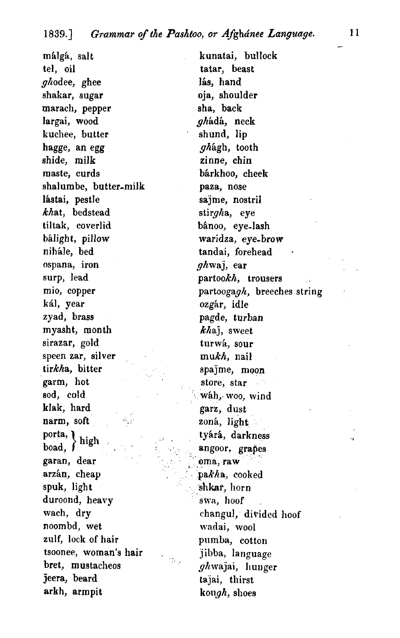málgá, salt tel, oil ghodee, ghee shakar, sugar marach, pepper largai, wood kuchee, butter hagge, an egg shide, milk maste, curds shalumbe, butter-milk lástai, pestle khat, bedstead tiltak, coverlid bálight, pillow nihále, bed ospana, iron surp, lead mio, copper kál, year zyad, brass myasht, month sirazar, gold speen zar, silver tirkha, bitter garm, hot sod, cold klak, hard narm, soft  ${ \begin{array}{c} \text{porta,} \\ \text{boad.} \end{array} }$ high garan, dear arzán, cheap spuk, light duroond, heavy wach, dry noombd, wet zulf, lock of hair tsoonee, woman's hair , bret, mustacheos jeera, beard arkh, armpit

kunatai, bullock tatar, beast lás, hand oja, shoulder sha, back ghádá, neck shund, lip ghagh, tooth zinne, chin bárkhoo, cheek paza, nose sajme, nostril stirgha, eye bânoo, eye-lash waridza, eye-brow tandai, forehead  $ghwa$ , ear partookh, trousers partoogagh, breeches string ozgár, idle pagde, turban khaj, sweet turwá, sour mukh, nail spajme, moon store, star wah, woo, wind garz, dust zoná, light tyárá, darkness angoor, grapes oma, raw pakha, cooked shkar, horn swa, hoof changul, divided hoof wadai, wool pumba, cotton jibba, language ghwajai, hunger tajai, thirst kough, slioes

-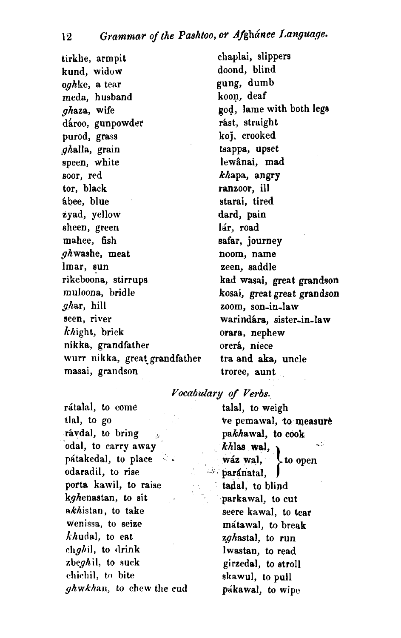tirkhe, armpit kund, widow oghke, a tear meda, husband ghaza, wife dároo, gunpowder purod, grass ghalla, grain speen, white soor, red tor, black Bbee, blue zyad, yellow sheen, green mahee, fish ghwashe, meat lmar, sun rikeboona, stirrups muloona, bridle ghar, hill seen, river  $k$ hight, brick nikka, grandfather wurr nikka, great grandfather masai, grandson

chaylai, slippers doond, blind gung, dumb koon, deaf god, lame with both leg8 rást, straight koj, crooked tsappa, upset lewânai, mad khapa, angry ranzoor, ill starai, tired dard, pain lár, road safar, journey noom, name zeen, saddle **ksd** wasai, great grandson kosai, great great grandson zoom, son-in-law warindára, sister-in-law orara, nephew orerá, niece tra and aka, uncle troree, aunt

## *Vocabulary* **of Verbs.**

rátalal, to come talal, to weigh tlal, to go the second the pemawal, **to measure** rávdal, to bring  $\qquad \qquad$  pakhawal, to cook odal, to carry away khlas **wal,** pátakedal, to place - wáz wal, odaradil, to rise paramatal, porta kawil, to raise kghenastan, to sit . parkawal, to cut  $\n *nkh*istan, to take seen that$ wenissa, to seize mátawal, to break *khudal*, to eat zghastal, to run  $chgh$ il, to drink Iwastan, to read zbeghil, to suck girzedal, to stroll chichil, to bite skawul, to pull ghwkhan, to chew the cud pakawal, to wipe

 $k$ *h*las wal,<br>wáz wal,<br>paránatal,<br>tadal, to blind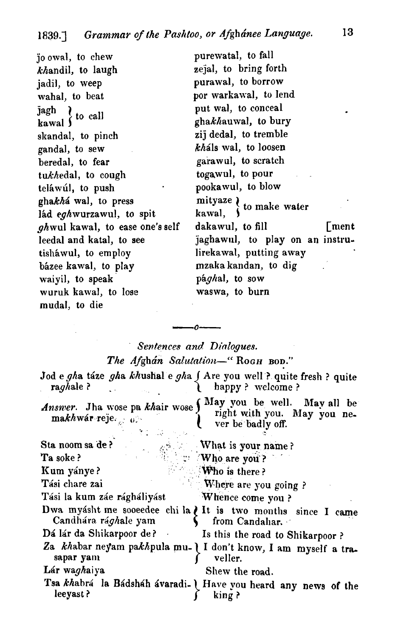JO owal, to chew khandil, to laugh jadil, to weep wahal, to beat  $\frac{1}{3}$  agh  $\frac{1}{3}$  to call skandal, to pinch gandal, to sew beredal, to fear tukhedal, to cough teláwúl, to push ghakha wal, to press mityaze  $\begin{cases} \n\text{if } \alpha \neq 0 \\
\text{if } \alpha \neq 1\n\end{cases}$  to make water Iád eghwurzawul, to spit kawal,  $\int_0^{\infty}$  had kawal, to ease one's self dakawul, to fill tisháwul, to employ lirekawal, putting away bhzee kawal, to play mzakakandan, to dig . waiyil, to speak pághal, to sow wuruk kawal, to lose waswa, to burn mudal, to die

purewatal, to fall zejal, to bring forth purawal, to borrow por warkawal, to lend put wal, to conceal ghakhauwal, to bury zij dedal, to tremble  $kh$ áls wal, to loosen garawul, to scratch togawul, to pour pookawul, to blow *ghwul kawal, to ease one's self* dakawul, to fill  $[$ ment leedal and katal, to see jaghawul, to play on an instru-

# Sentences and Dinlogues.

# The Afghan Salutation-" Rogh BOD."

| raghale?                                                       | Jod e gha táze gha khushal e gha j Are you well ? quite fresh ? quite<br>happy? welcome? |
|----------------------------------------------------------------|------------------------------------------------------------------------------------------|
| Answer. Jha wose pa khair wose<br>makhwár reje. $\mathfrak{g}$ | May you be well. May all be<br>right with you. May you ne-<br>ver be badly off.          |
| Sta noom sa 'de ?                                              | What is your name?                                                                       |
| Ta soke?                                                       | $\mathbb{C}$ Who are you?                                                                |
| Kum yánye?                                                     | <b>Who</b> is there?                                                                     |
| Tási chare zai                                                 | Where are you going?                                                                     |
| Tási la kum záe rágháliyást                                    | Whence come you?                                                                         |
| Candhára rá <i>gh</i> ale yam                                  | Dwa myásht me sooeedee chi la ¿ It is two months since I came<br>from Candahar.          |
| Dá lár da Shikarpoor de? Is this the road to Shikarpoor?       |                                                                                          |
| sapar yam                                                      | Za khabar neyam pakhpula mu-   I don't know, I am myself a tra-<br>veller.               |
| Lár waghaiya                                                   | Shew the road.                                                                           |
| leeyast?                                                       | Tsa khabrá la Bádsháh ávaradi-   Have you heard any news of the<br>king?                 |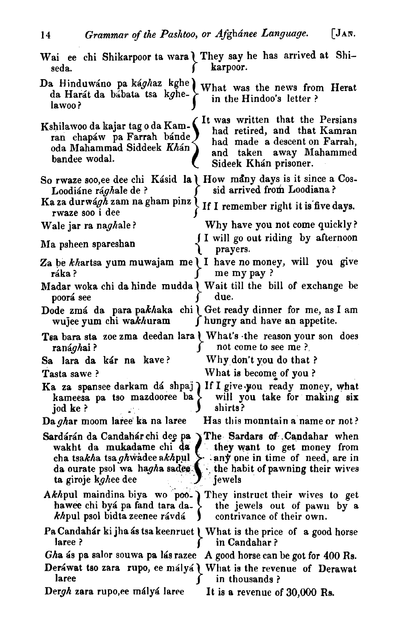14 Grammar of the Pashtoo, or Afghanee Language. [JAR.

| Wai ee chi Shikarpoor ta wara I They say he has arrived at Shi-<br>karpoor.<br>seda.                                                                                                                                                                                                                       |
|------------------------------------------------------------------------------------------------------------------------------------------------------------------------------------------------------------------------------------------------------------------------------------------------------------|
| Da Hinduwáno pa ká <i>gh</i> az kghe<br>What was the news from Herat<br>da Harát da bábata tsa kghe-<br>in the Hindoo's letter?<br>lawoo?                                                                                                                                                                  |
| It was written that the Persians<br>Kshilawoo da kajar tag o da Kam-<br>had retired, and that Kamran<br>ran chapáw pa Farrah bánde<br>had made a descent on Farrah,<br>oda Mahammad Siddeek Khán<br>and taken away Mahammed<br>bandee wodal.<br>Sideek Khán prisoner.                                      |
| So rwaze soo, ee dee chi Kásid la   How many days is it since a Cos-<br>sid arrived from Loodiana?<br>Loodiáne rá <i>gh</i> ale de ?                                                                                                                                                                       |
| Ka za durwá <i>gh</i> zam na gham pinz l<br>If I remember right it is five days.<br>rwaze soo i dee                                                                                                                                                                                                        |
| Why have you not come quickly?<br>Wale jar ra naghale?                                                                                                                                                                                                                                                     |
| I I will go out riding by afternoon<br>Ma psheen spareshan<br>prayers.                                                                                                                                                                                                                                     |
| Za be khartsa yum muwajam me I I have no money, will you give<br>me my pay?<br>ráka?                                                                                                                                                                                                                       |
| Madar woka chi da hinde mudda   Wait till the bill of exchange be<br>due.<br>poorá see                                                                                                                                                                                                                     |
| Dode zmá da para pakhaka chi   Get ready dinner for me, as I am<br>f hungry and have an appetite.<br>wujee yum chi wa <i>kh</i> uram                                                                                                                                                                       |
|                                                                                                                                                                                                                                                                                                            |
| Tsa bara sta zoe zma deedan lara   What's the reason your son does<br>not come to see me ?<br>ranághai?                                                                                                                                                                                                    |
| Why don't you do that ?<br>Sa lara da kár na kave?                                                                                                                                                                                                                                                         |
| What is become of you?<br>Tasta sawe?                                                                                                                                                                                                                                                                      |
| Ka za spansee darkam dá shpaj If I give you ready money, what<br>will you take for making six<br>kameesa pa tso mazdooree ba<br>shirts?<br>jod ke?                                                                                                                                                         |
| Has this mountain a name or not?<br>Da ghar moom laree ka na laree                                                                                                                                                                                                                                         |
| Sardárán da Candahár chi dee pa Y The Sardars of Candahar when<br>wakht da mukadame chi da they want to get money from<br>cha tsakha tsa ghwadee akhpul $\geq$ any one in time of need, are in<br>da ourate psol wa hagha sades. the habit of pawning their wives<br>ta giroje k <i>ghee</i> dee<br>jewels |
| Akhpul maindina biya wo poo-) They instruct their wives to get<br>hawee chi byá pa fand tara da-<br>the jewels out of pawn by a<br>khpul psol bidta zeenee rávdá<br>contrivance of their own.                                                                                                              |
| Pa Candahár ki jha ás tsa keenruet   What is the price of a good horse<br>laree ?<br>in Candahar?                                                                                                                                                                                                          |
| Gha ás pa salor souwa pa lás razee A good horse can be got for 400 Rs.                                                                                                                                                                                                                                     |
| Deráwat tso zara rupo, ee mályá \ What is the revenue of Derawat<br>laree<br>in thousands?                                                                                                                                                                                                                 |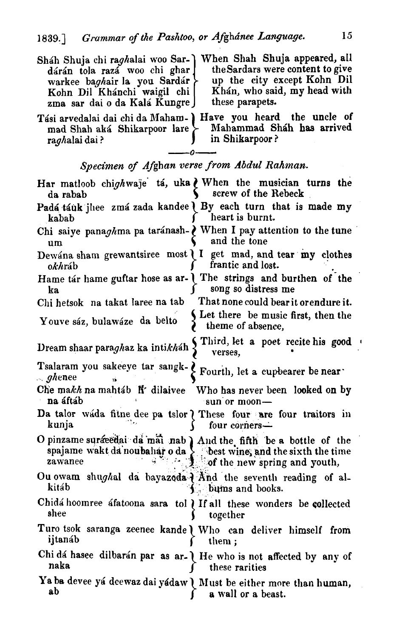| Sháh Shuja chi raghalai woo Sar-<br>dárán tola razá woo chi ghar<br>warkee baghair la you Sardár<br>Kohn Dil Khánchi waigil chi<br>zma sar dai o da Kalá Kungre J | When Shah Shuja appeared, all<br>the Sardars were content to give<br>up the city except Kohn Dil<br>Khán, who said, my head with<br>these parapets.                          |
|-------------------------------------------------------------------------------------------------------------------------------------------------------------------|------------------------------------------------------------------------------------------------------------------------------------------------------------------------------|
| mad Shah aká Shikarpoor lare<br>ra <i>gh</i> alai dai ?                                                                                                           | Tási arvedalai dai chi da Maham-   Have you heard the uncle of<br>Mahammad Sháh has arrived<br>in Shikarpoor?                                                                |
|                                                                                                                                                                   | Specimen of Afghan verse from Abdul Rahman.                                                                                                                                  |
| da rabab                                                                                                                                                          | Har matloob chighwaje tá, uka ¿ When the musician turns the<br>screw of the Rebeck                                                                                           |
| kabab                                                                                                                                                             | Padá táuk jhee zmá zada kandee   By each turn that is made my<br>heart is burnt.                                                                                             |
| um                                                                                                                                                                | Chi saiye panaghma pa taránash- V When I pay attention to the tune<br>and the tone                                                                                           |
| okhráb                                                                                                                                                            | Dewana sham grewantsiree most <i>I</i> get mad, and tear my clothes<br>frantic and lost.                                                                                     |
| ka.                                                                                                                                                               | Hame tar hame guftar hose as ar- I The strings and burthen of the<br>song so distress me                                                                                     |
| Chi hetsok na takat laree na tab                                                                                                                                  | That none could bear it orendure it.                                                                                                                                         |
| Youve sáz, bulawáze da belto                                                                                                                                      | Let there be music first, then the<br>theme of absence,                                                                                                                      |
| Dream shaar paraghaz ka intikháh                                                                                                                                  | Third, let a poet recite his good<br>verses,                                                                                                                                 |
| Tsalaram you sakeeye tar sangk- > Fourth, let a cupbearer be near<br>${\color{green}\boldsymbol{\mathcal{S}}}$ ghenee<br>۱Þ                                       |                                                                                                                                                                              |
| Che makh na mahtáb li dilaivee<br>na áftáb                                                                                                                        | Who has never been looked on by<br>sun or moon-                                                                                                                              |
| kunja                                                                                                                                                             | Da talor wada fitne dee pa tslor ? These four are four traitors in<br>four corners—                                                                                          |
| zawanee                                                                                                                                                           | O pinzame surfreedai da mai nab ) And the fifth be a bottle of the<br>spajame wakt da noubahar o da $\sum$ best wine, and the sixth the time<br>of the new spring and youth, |
| kitáb                                                                                                                                                             | Ou owam shughal da bayazoda I And the seventh reading of al-<br>bums and books.                                                                                              |
| shee                                                                                                                                                              | Chidá hoomree áfatoona sara tol <i>I</i> If all these wonders be collected<br>together                                                                                       |
| ijtanáb                                                                                                                                                           | Turo tsok saranga zeenee kande) Who can deliver himself from<br>them;                                                                                                        |
| naka                                                                                                                                                              | Chi dá hasee dilbarán par as ar- I He who is not affected by any of<br>these rarities                                                                                        |
| ab                                                                                                                                                                | Ya ba devee yá deewaz dai yádaw) Must be either more than human,<br>a wall or a beast.                                                                                       |